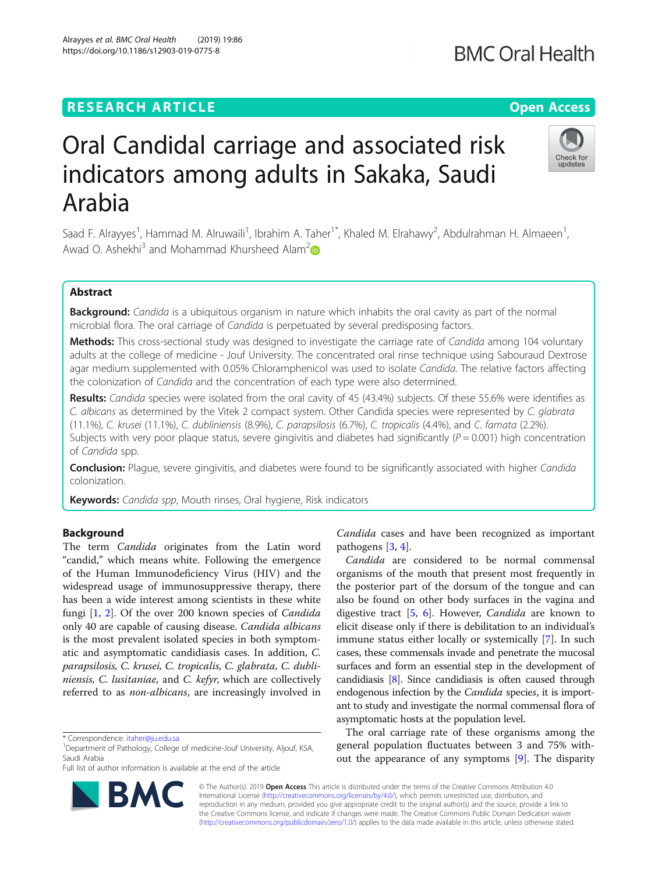## **RESEARCH ARTICLE Example 2018 12:30 THE Open Access**

# Oral Candidal carriage and associated risk indicators among adults in Sakaka, Saudi Arabia

Saad F. Alrayyes<sup>1</sup>, Hammad M. Alruwaili<sup>1</sup>, Ibrahim A. Taher<sup>1\*</sup>, Khaled M. Elrahawy<sup>2</sup>, Abdulrahman H. Almaeen<sup>1</sup> , Awad O. Ashekhi<sup>3</sup> and Mohammad Khursheed Alam<sup>2</sup>

## Abstract

Background: Candida is a ubiquitous organism in nature which inhabits the oral cavity as part of the normal microbial flora. The oral carriage of Candida is perpetuated by several predisposing factors.

Methods: This cross-sectional study was designed to investigate the carriage rate of Candida among 104 voluntary adults at the college of medicine - Jouf University. The concentrated oral rinse technique using Sabouraud Dextrose agar medium supplemented with 0.05% Chloramphenicol was used to isolate Candida. The relative factors affecting the colonization of Candida and the concentration of each type were also determined.

Results: Candida species were isolated from the oral cavity of 45 (43.4%) subjects. Of these 55.6% were identifies as C. albicans as determined by the Vitek 2 compact system. Other Candida species were represented by C. glabrata (11.1%), C. krusei (11.1%), C. dubliniensis (8.9%), C. parapsilosis (6.7%), C. tropicalis (4.4%), and C. famata (2.2%). Subjects with very poor plaque status, severe gingivitis and diabetes had significantly ( $P = 0.001$ ) high concentration of Candida spp.

Conclusion: Plague, severe gingivitis, and diabetes were found to be significantly associated with higher Candida colonization.

Keywords: Candida spp, Mouth rinses, Oral hygiene, Risk indicators

### Background

The term Candida originates from the Latin word "candid," which means white. Following the emergence of the Human Immunodeficiency Virus (HIV) and the widespread usage of immunosuppressive therapy, there has been a wide interest among scientists in these white fungi [\[1](#page-5-0), [2](#page-5-0)]. Of the over 200 known species of Candida only 40 are capable of causing disease. Candida albicans is the most prevalent isolated species in both symptomatic and asymptomatic candidiasis cases. In addition, C. parapsilosis, C. krusei, C. tropicalis, C. glabrata, C. dubliniensis, C. lusitaniae, and C. kefyr, which are collectively referred to as non-albicans, are increasingly involved in

\* Correspondence: [itaher@ju.edu.sa](mailto:itaher@ju.edu.sa) <sup>1</sup>

Full list of author information is available at the end of the article

Candida cases and have been recognized as important pathogens [\[3](#page-5-0), [4](#page-5-0)].

Candida are considered to be normal commensal organisms of the mouth that present most frequently in the posterior part of the dorsum of the tongue and can also be found on other body surfaces in the vagina and digestive tract [\[5](#page-5-0), [6\]](#page-5-0). However, Candida are known to elicit disease only if there is debilitation to an individual's immune status either locally or systemically [[7\]](#page-5-0). In such cases, these commensals invade and penetrate the mucosal surfaces and form an essential step in the development of candidiasis [[8](#page-5-0)]. Since candidiasis is often caused through endogenous infection by the Candida species, it is important to study and investigate the normal commensal flora of asymptomatic hosts at the population level.

The oral carriage rate of these organisms among the general population fluctuates between 3 and 75% without the appearance of any symptoms [\[9\]](#page-5-0). The disparity

© The Author(s). 2019 Open Access This article is distributed under the terms of the Creative Commons Attribution 4.0 International License [\(http://creativecommons.org/licenses/by/4.0/](http://creativecommons.org/licenses/by/4.0/)), which permits unrestricted use, distribution, and reproduction in any medium, provided you give appropriate credit to the original author(s) and the source, provide a link to the Creative Commons license, and indicate if changes were made. The Creative Commons Public Domain Dedication waiver [\(http://creativecommons.org/publicdomain/zero/1.0/](http://creativecommons.org/publicdomain/zero/1.0/)) applies to the data made available in this article, unless otherwise stated.





<sup>&</sup>lt;sup>1</sup>Department of Pathology, College of medicine-Jouf University, Aljouf, KSA, Saudi Arabia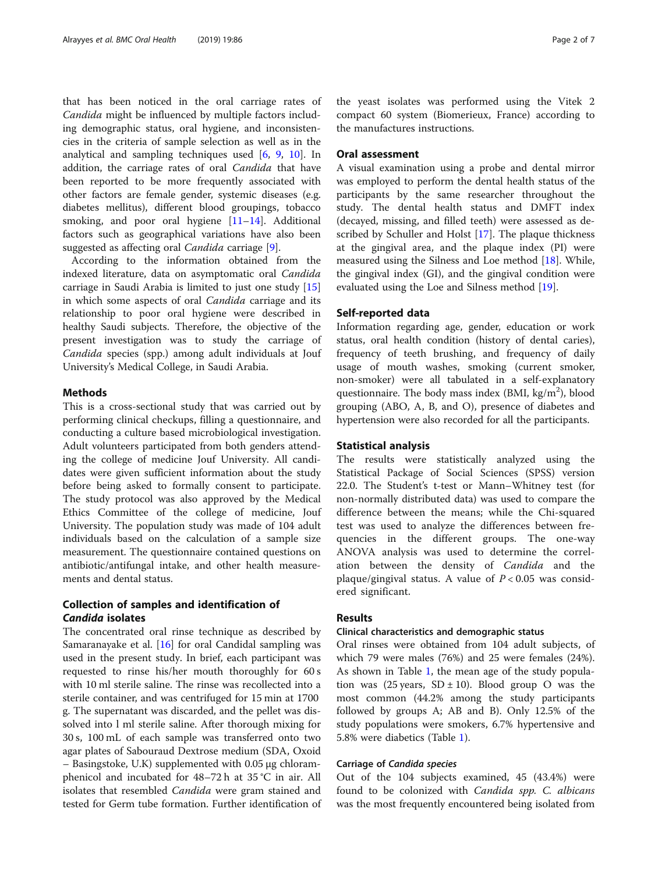that has been noticed in the oral carriage rates of Candida might be influenced by multiple factors including demographic status, oral hygiene, and inconsistencies in the criteria of sample selection as well as in the analytical and sampling techniques used [[6,](#page-5-0) [9,](#page-5-0) [10\]](#page-5-0). In addition, the carriage rates of oral Candida that have been reported to be more frequently associated with other factors are female gender, systemic diseases (e.g. diabetes mellitus), different blood groupings, tobacco smoking, and poor oral hygiene [\[11](#page-5-0)–[14\]](#page-5-0). Additional factors such as geographical variations have also been suggested as affecting oral *Candida* carriage [[9\]](#page-5-0).

According to the information obtained from the indexed literature, data on asymptomatic oral Candida carriage in Saudi Arabia is limited to just one study [[15](#page-5-0)] in which some aspects of oral Candida carriage and its relationship to poor oral hygiene were described in healthy Saudi subjects. Therefore, the objective of the present investigation was to study the carriage of Candida species (spp.) among adult individuals at Jouf University's Medical College, in Saudi Arabia.

## Methods

This is a cross-sectional study that was carried out by performing clinical checkups, filling a questionnaire, and conducting a culture based microbiological investigation. Adult volunteers participated from both genders attending the college of medicine Jouf University. All candidates were given sufficient information about the study before being asked to formally consent to participate. The study protocol was also approved by the Medical Ethics Committee of the college of medicine, Jouf University. The population study was made of 104 adult individuals based on the calculation of a sample size measurement. The questionnaire contained questions on antibiotic/antifungal intake, and other health measurements and dental status.

## Collection of samples and identification of Candida isolates

The concentrated oral rinse technique as described by Samaranayake et al. [[16\]](#page-5-0) for oral Candidal sampling was used in the present study. In brief, each participant was requested to rinse his/her mouth thoroughly for 60 s with 10 ml sterile saline. The rinse was recollected into a sterile container, and was centrifuged for 15 min at 1700 g. The supernatant was discarded, and the pellet was dissolved into l ml sterile saline. After thorough mixing for 30 s, 100 mL of each sample was transferred onto two agar plates of Sabouraud Dextrose medium (SDA, Oxoid – Basingstoke, U.K) supplemented with 0.05 μg chloramphenicol and incubated for 48–72 h at 35 °C in air. All isolates that resembled *Candida* were gram stained and tested for Germ tube formation. Further identification of the yeast isolates was performed using the Vitek 2 compact 60 system (Biomerieux, France) according to the manufactures instructions.

## Oral assessment

A visual examination using a probe and dental mirror was employed to perform the dental health status of the participants by the same researcher throughout the study. The dental health status and DMFT index (decayed, missing, and filled teeth) were assessed as described by Schuller and Holst [[17\]](#page-5-0). The plaque thickness at the gingival area, and the plaque index (PI) were measured using the Silness and Loe method [\[18](#page-5-0)]. While, the gingival index (GI), and the gingival condition were evaluated using the Loe and Silness method [[19](#page-5-0)].

#### Self-reported data

Information regarding age, gender, education or work status, oral health condition (history of dental caries), frequency of teeth brushing, and frequency of daily usage of mouth washes, smoking (current smoker, non-smoker) were all tabulated in a self-explanatory questionnaire. The body mass index (BMI,  $\text{kg/m}^2$ ), blood grouping (ABO, A, B, and O), presence of diabetes and hypertension were also recorded for all the participants.

## Statistical analysis

The results were statistically analyzed using the Statistical Package of Social Sciences (SPSS) version 22.0. The Student's t-test or Mann–Whitney test (for non-normally distributed data) was used to compare the difference between the means; while the Chi-squared test was used to analyze the differences between frequencies in the different groups. The one-way ANOVA analysis was used to determine the correlation between the density of Candida and the plaque/gingival status. A value of  $P < 0.05$  was considered significant.

## Results

## Clinical characteristics and demographic status

Oral rinses were obtained from 104 adult subjects, of which 79 were males (76%) and 25 were females (24%). As shown in Table [1](#page-2-0), the mean age of the study population was (25 years,  $SD \pm 10$ ). Blood group O was the most common (44.2% among the study participants followed by groups A; AB and B). Only 12.5% of the study populations were smokers, 6.7% hypertensive and 5.8% were diabetics (Table [1](#page-2-0)).

### Carriage of Candida species

Out of the 104 subjects examined, 45 (43.4%) were found to be colonized with Candida spp. C. albicans was the most frequently encountered being isolated from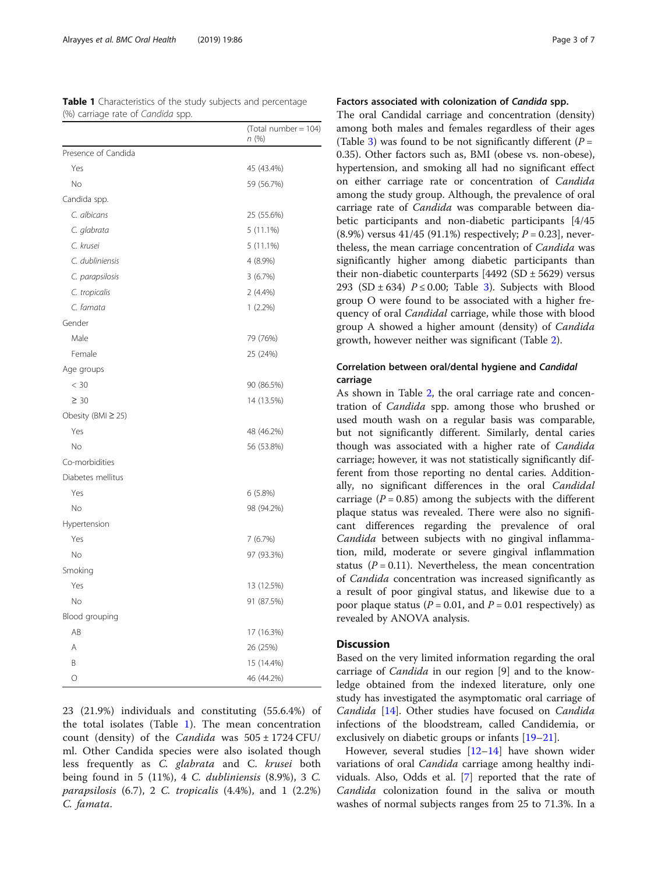| $\epsilon$<br>۔ ب<br>L. L. | (Total number = 104)<br>n (%) |
|----------------------------|-------------------------------|
| Presence of Candida        |                               |
| Yes                        | 45 (43.4%)                    |
| No                         | 59 (56.7%)                    |
| Candida spp.               |                               |
| C. albicans                | 25 (55.6%)                    |
| C. glabrata                | $5(11.1\%)$                   |
| C. krusei                  | 5 (11.1%)                     |
| C. dubliniensis            | 4 (8.9%)                      |
| C. parapsilosis            | 3(6.7%)                       |
| C. tropicalis              | 2 (4.4%)                      |
| C. famata                  | $1(2.2\%)$                    |
| Gender                     |                               |
| Male                       | 79 (76%)                      |
| Female                     | 25 (24%)                      |
| Age groups                 |                               |
| < 30                       | 90 (86.5%)                    |
| $\geq 30$                  | 14 (13.5%)                    |
| Obesity (BMI $\geq$ 25)    |                               |
| Yes                        | 48 (46.2%)                    |
| No                         | 56 (53.8%)                    |
| Co-morbidities             |                               |
| Diabetes mellitus          |                               |
| Yes                        | 6(5.8%)                       |
| No                         | 98 (94.2%)                    |
| Hypertension               |                               |
| Yes                        | 7 (6.7%)                      |
| No                         | 97 (93.3%)                    |
| Smoking                    |                               |
| Yes                        | 13 (12.5%)                    |
| No                         | 91 (87.5%)                    |
| Blood grouping             |                               |
| AB                         | 17 (16.3%)                    |
| A                          | 26 (25%)                      |
| B                          | 15 (14.4%)                    |
| 0                          | 46 (44.2%)                    |

23 (21.9%) individuals and constituting (55.6.4%) of the total isolates (Table 1). The mean concentration count (density) of the *Candida* was  $505 \pm 1724$  CFU/ ml. Other Candida species were also isolated though less frequently as C. glabrata and C. krusei both being found in 5 (11%), 4 C. dubliniensis (8.9%), 3 C. *parapsilosis*  $(6.7)$ , 2 C. tropicalis  $(4.4\%)$ , and 1  $(2.2\%)$ C. famata.

## Factors associated with colonization of Candida spp.

The oral Candidal carriage and concentration (density) among both males and females regardless of their ages (Table [3](#page-4-0)) was found to be not significantly different ( $P =$ 0.35). Other factors such as, BMI (obese vs. non-obese), hypertension, and smoking all had no significant effect on either carriage rate or concentration of Candida among the study group. Although, the prevalence of oral carriage rate of Candida was comparable between diabetic participants and non-diabetic participants [4/45  $(8.9\%)$  versus 41/45 (91.1%) respectively;  $P = 0.23$ , nevertheless, the mean carriage concentration of Candida was significantly higher among diabetic participants than their non-diabetic counterparts  $[4492 (SD \pm 5629)]$  versus 293 (SD  $\pm$  634)  $P \le 0.00$ ; Table [3\)](#page-4-0). Subjects with Blood group O were found to be associated with a higher frequency of oral Candidal carriage, while those with blood group A showed a higher amount (density) of Candida growth, however neither was significant (Table [2\)](#page-3-0).

## Correlation between oral/dental hygiene and Candidal carriage

As shown in Table [2](#page-3-0), the oral carriage rate and concentration of Candida spp. among those who brushed or used mouth wash on a regular basis was comparable, but not significantly different. Similarly, dental caries though was associated with a higher rate of Candida carriage; however, it was not statistically significantly different from those reporting no dental caries. Additionally, no significant differences in the oral Candidal carriage ( $P = 0.85$ ) among the subjects with the different plaque status was revealed. There were also no significant differences regarding the prevalence of oral Candida between subjects with no gingival inflammation, mild, moderate or severe gingival inflammation status ( $P = 0.11$ ). Nevertheless, the mean concentration of Candida concentration was increased significantly as a result of poor gingival status, and likewise due to a poor plaque status ( $P = 0.01$ , and  $P = 0.01$  respectively) as revealed by ANOVA analysis.

## **Discussion**

Based on the very limited information regarding the oral carriage of Candida in our region [9] and to the knowledge obtained from the indexed literature, only one study has investigated the asymptomatic oral carriage of Candida [\[14](#page-5-0)]. Other studies have focused on Candida infections of the bloodstream, called Candidemia, or exclusively on diabetic groups or infants [[19](#page-5-0)–[21](#page-5-0)].

However, several studies [\[12](#page-5-0)–[14\]](#page-5-0) have shown wider variations of oral *Candida* carriage among healthy individuals. Also, Odds et al. [\[7](#page-5-0)] reported that the rate of Candida colonization found in the saliva or mouth washes of normal subjects ranges from 25 to 71.3%. In a

<span id="page-2-0"></span>Table 1 Characteristics of the study subjects and percentage (%) carriage rate of Candida spp.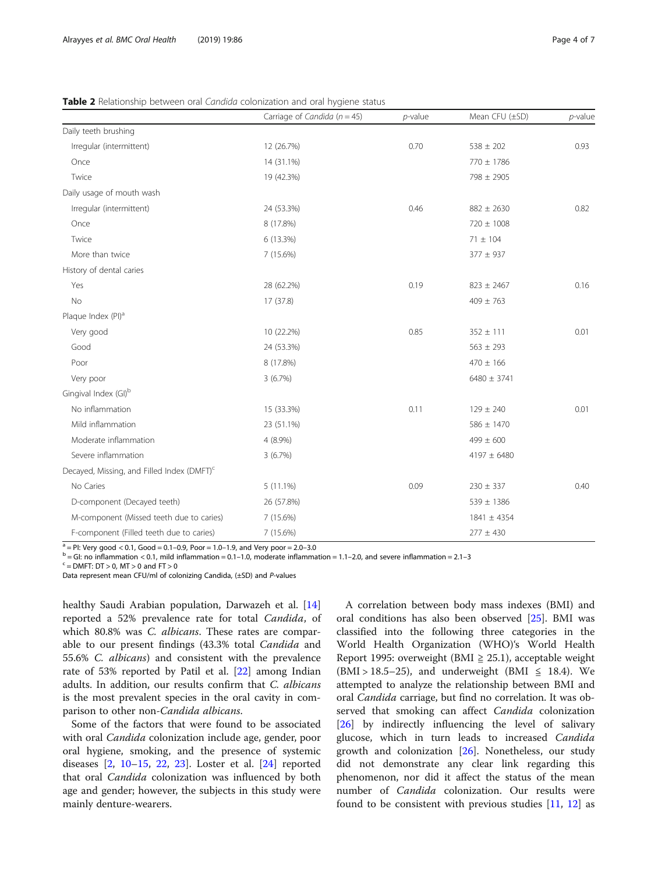<span id="page-3-0"></span>

| Table 2 Relationship between oral Candida colonization and oral hygiene status |  |
|--------------------------------------------------------------------------------|--|
|--------------------------------------------------------------------------------|--|

|                                                        | Carriage of Candida ( $n = 45$ ) | $p$ -value | Mean CFU (±SD)  | $p$ -value |
|--------------------------------------------------------|----------------------------------|------------|-----------------|------------|
| Daily teeth brushing                                   |                                  |            |                 |            |
| Irregular (intermittent)                               | 12 (26.7%)                       | 0.70       | $538 \pm 202$   | 0.93       |
| Once                                                   | 14 (31.1%)                       |            | 770 ± 1786      |            |
| Twice                                                  | 19 (42.3%)                       |            | 798 ± 2905      |            |
| Daily usage of mouth wash                              |                                  |            |                 |            |
| Irregular (intermittent)                               | 24 (53.3%)                       | 0.46       | $882 \pm 2630$  | 0.82       |
| Once                                                   | 8 (17.8%)                        |            | 720 ± 1008      |            |
| Twice                                                  | 6 (13.3%)                        |            | $71 \pm 104$    |            |
| More than twice                                        | 7 (15.6%)                        |            | $377 \pm 937$   |            |
| History of dental caries                               |                                  |            |                 |            |
| Yes                                                    | 28 (62.2%)                       | 0.19       | $823 \pm 2467$  | 0.16       |
| No                                                     | 17 (37.8)                        |            | $409 \pm 763$   |            |
| Plaque Index (PI) <sup>a</sup>                         |                                  |            |                 |            |
| Very good                                              | 10 (22.2%)                       | 0.85       | $352 \pm 111$   | 0.01       |
| Good                                                   | 24 (53.3%)                       |            | $563 \pm 293$   |            |
| Poor                                                   | 8 (17.8%)                        |            | $470 \pm 166$   |            |
| Very poor                                              | 3(6.7%)                          |            | $6480 \pm 3741$ |            |
| Gingival Index (GI) <sup>b</sup>                       |                                  |            |                 |            |
| No inflammation                                        | 15 (33.3%)                       | 0.11       | $129 \pm 240$   | 0.01       |
| Mild inflammation                                      | 23 (51.1%)                       |            | $586 \pm 1470$  |            |
| Moderate inflammation                                  | 4 (8.9%)                         |            | $499 \pm 600$   |            |
| Severe inflammation                                    | 3(6.7%)                          |            | 4197 $\pm$ 6480 |            |
| Decayed, Missing, and Filled Index (DMFT) <sup>c</sup> |                                  |            |                 |            |
| No Caries                                              | $5(11.1\%)$                      | 0.09       | $230 \pm 337$   | 0.40       |
| D-component (Decayed teeth)                            | 26 (57.8%)                       |            | $539 \pm 1386$  |            |
| M-component (Missed teeth due to caries)               | 7 (15.6%)                        |            | $1841 \pm 4354$ |            |
| F-component (Filled teeth due to caries)               | 7 (15.6%)                        |            | $277 \pm 430$   |            |

<sup>a</sup> = Pl: Very good < 0.1, Good = 0.1-0.9, Poor = 1.0-1.9, and Very poor = 2.0-3.0<br><sup>b</sup> = Gl: no inflammation < 0.1, mild inflammation = 0.1-1.0, moderate inflammation = 1.1-2.0, and severe inflammation = 2.1-3<br><sup>c</sup> = DMFT:

Data represent mean CFU/ml of colonizing Candida, (±SD) and P-values

healthy Saudi Arabian population, Darwazeh et al. [[14](#page-5-0)] reported a 52% prevalence rate for total Candida, of which 80.8% was C. albicans. These rates are comparable to our present findings (43.3% total Candida and 55.6% C. albicans) and consistent with the prevalence rate of 53% reported by Patil et al. [[22](#page-5-0)] among Indian adults. In addition, our results confirm that C. albicans is the most prevalent species in the oral cavity in comparison to other non-Candida albicans.

Some of the factors that were found to be associated with oral *Candida* colonization include age, gender, poor oral hygiene, smoking, and the presence of systemic diseases [\[2,](#page-5-0) [10](#page-5-0)–[15](#page-5-0), [22](#page-5-0), [23\]](#page-5-0). Loster et al. [[24\]](#page-5-0) reported that oral *Candida* colonization was influenced by both age and gender; however, the subjects in this study were mainly denture-wearers.

A correlation between body mass indexes (BMI) and oral conditions has also been observed [[25](#page-6-0)]. BMI was classified into the following three categories in the World Health Organization (WHO)'s World Health Report 1995: overweight (BMI  $\geq$  25.1), acceptable weight  $(BMI > 18.5-25)$ , and underweight (BMI  $\leq$  18.4). We attempted to analyze the relationship between BMI and oral Candida carriage, but find no correlation. It was observed that smoking can affect Candida colonization [[26\]](#page-6-0) by indirectly influencing the level of salivary glucose, which in turn leads to increased Candida growth and colonization [[26](#page-6-0)]. Nonetheless, our study did not demonstrate any clear link regarding this phenomenon, nor did it affect the status of the mean number of *Candida* colonization. Our results were found to be consistent with previous studies [[11,](#page-5-0) [12](#page-5-0)] as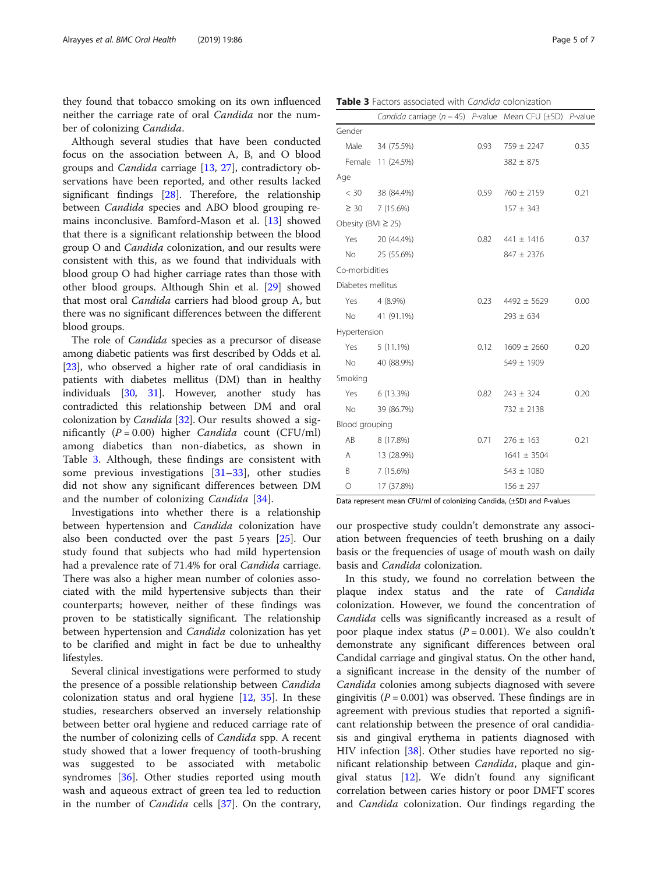<span id="page-4-0"></span>they found that tobacco smoking on its own influenced neither the carriage rate of oral Candida nor the number of colonizing Candida.

Although several studies that have been conducted focus on the association between A, B, and O blood groups and Candida carriage [[13](#page-5-0), [27\]](#page-6-0), contradictory observations have been reported, and other results lacked significant findings [\[28](#page-6-0)]. Therefore, the relationship between Candida species and ABO blood grouping remains inconclusive. Bamford-Mason et al. [\[13](#page-5-0)] showed that there is a significant relationship between the blood group O and Candida colonization, and our results were consistent with this, as we found that individuals with blood group O had higher carriage rates than those with other blood groups. Although Shin et al. [\[29\]](#page-6-0) showed that most oral Candida carriers had blood group A, but there was no significant differences between the different blood groups.

The role of Candida species as a precursor of disease among diabetic patients was first described by Odds et al. [[23](#page-5-0)], who observed a higher rate of oral candidiasis in patients with diabetes mellitus (DM) than in healthy individuals [[30](#page-6-0), [31\]](#page-6-0). However, another study has contradicted this relationship between DM and oral colonization by *Candida* [[32](#page-6-0)]. Our results showed a significantly  $(P = 0.00)$  higher *Candida* count (CFU/ml) among diabetics than non-diabetics, as shown in Table 3. Although, these findings are consistent with some previous investigations  $[31-33]$  $[31-33]$  $[31-33]$  $[31-33]$ , other studies did not show any significant differences between DM and the number of colonizing Candida [\[34](#page-6-0)].

Investigations into whether there is a relationship between hypertension and *Candida* colonization have also been conducted over the past 5 years [[25\]](#page-6-0). Our study found that subjects who had mild hypertension had a prevalence rate of 71.4% for oral Candida carriage. There was also a higher mean number of colonies associated with the mild hypertensive subjects than their counterparts; however, neither of these findings was proven to be statistically significant. The relationship between hypertension and Candida colonization has yet to be clarified and might in fact be due to unhealthy lifestyles.

Several clinical investigations were performed to study the presence of a possible relationship between Candida colonization status and oral hygiene [\[12](#page-5-0), [35\]](#page-6-0). In these studies, researchers observed an inversely relationship between better oral hygiene and reduced carriage rate of the number of colonizing cells of Candida spp. A recent study showed that a lower frequency of tooth-brushing was suggested to be associated with metabolic syndromes [[36\]](#page-6-0). Other studies reported using mouth wash and aqueous extract of green tea led to reduction in the number of Candida cells [\[37\]](#page-6-0). On the contrary,

Table 3 Factors associated with Candida colonization

|                         | Candida carriage ( $n = 45$ ) P-value Mean CFU ( $\pm$ SD) P-value |      |                    |      |
|-------------------------|--------------------------------------------------------------------|------|--------------------|------|
| Gender                  |                                                                    |      |                    |      |
| Male                    | 34 (75.5%)                                                         | 0.93 | $759 \pm 2247$     | 0.35 |
|                         | Female 11 (24.5%)                                                  |      | $382 \pm 875$      |      |
| Age                     |                                                                    |      |                    |      |
|                         | $< 30$ 38 (84.4%)                                                  | 0.59 | $760 \pm 2159$     | 0.21 |
|                         | $\geq$ 30 7 (15.6%)                                                |      | $157 \pm 343$      |      |
| Obesity (BMI $\geq$ 25) |                                                                    |      |                    |      |
| Yes                     | 20 (44.4%)                                                         | 0.82 | $441 \pm 1416$     | 0.37 |
| No.                     | 25 (55.6%)                                                         |      | $847 \pm 2376$     |      |
| Co-morbidities          |                                                                    |      |                    |      |
| Diabetes mellitus       |                                                                    |      |                    |      |
| Yes.                    | 4 (8.9%)                                                           | 0.23 | $4492 \pm 5629$    | 0.00 |
| No.                     | 41 (91.1%)                                                         |      | $293 \pm 634$      |      |
| Hypertension            |                                                                    |      |                    |      |
| Yes                     | 5 (11.1%)                                                          |      | $0.12$ 1609 ± 2660 | 0.20 |
| <b>No</b>               | 40 (88.9%)                                                         |      | 549 ± 1909         |      |
| Smoking                 |                                                                    |      |                    |      |
| Yes                     | 6 (13.3%)                                                          | 0.82 | $243 \pm 324$      | 0.20 |
| No.                     | 39 (86.7%)                                                         |      | $732 \pm 2138$     |      |
| Blood grouping          |                                                                    |      |                    |      |
| AB                      | 8 (17.8%)                                                          | 0.71 | $276 \pm 163$      | 0.21 |
| A                       | 13 (28.9%)                                                         |      | $1641 \pm 3504$    |      |
| B                       | 7 (15.6%)                                                          |      | $543 \pm 1080$     |      |
| $\circ$                 | 17 (37.8%)                                                         |      | $156 \pm 297$      |      |

Data represent mean CFU/ml of colonizing Candida, (±SD) and P-values

our prospective study couldn't demonstrate any association between frequencies of teeth brushing on a daily basis or the frequencies of usage of mouth wash on daily basis and Candida colonization.

In this study, we found no correlation between the plaque index status and the rate of Candida colonization. However, we found the concentration of Candida cells was significantly increased as a result of poor plaque index status ( $P = 0.001$ ). We also couldn't demonstrate any significant differences between oral Candidal carriage and gingival status. On the other hand, a significant increase in the density of the number of Candida colonies among subjects diagnosed with severe gingivitis ( $P = 0.001$ ) was observed. These findings are in agreement with previous studies that reported a significant relationship between the presence of oral candidiasis and gingival erythema in patients diagnosed with HIV infection [\[38](#page-6-0)]. Other studies have reported no significant relationship between *Candida*, plaque and gingival status [\[12\]](#page-5-0). We didn't found any significant correlation between caries history or poor DMFT scores and Candida colonization. Our findings regarding the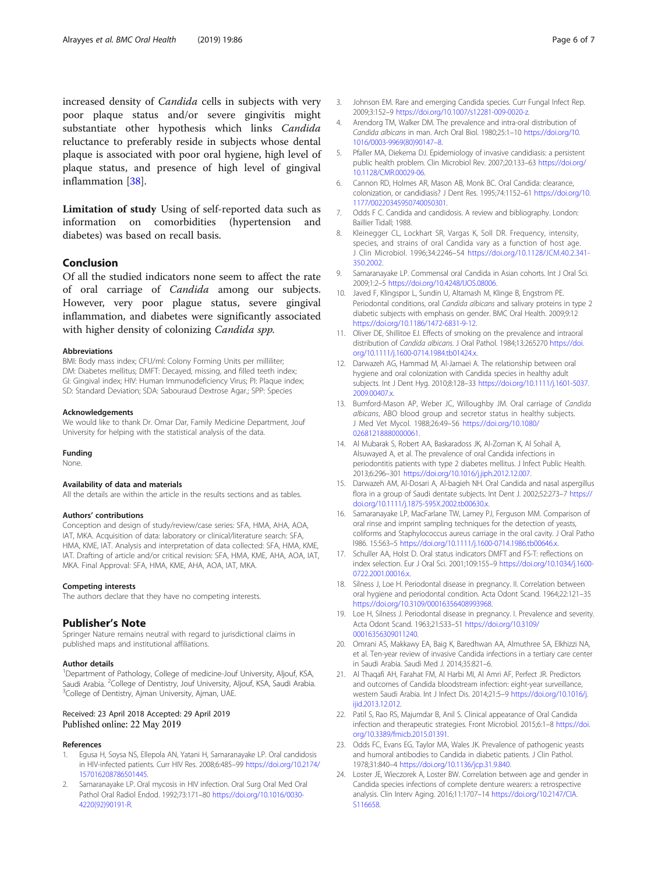<span id="page-5-0"></span>increased density of Candida cells in subjects with very poor plaque status and/or severe gingivitis might substantiate other hypothesis which links Candida reluctance to preferably reside in subjects whose dental plaque is associated with poor oral hygiene, high level of plaque status, and presence of high level of gingival inflammation [[38](#page-6-0)].

Limitation of study Using of self-reported data such as information on comorbidities (hypertension and diabetes) was based on recall basis.

## Conclusion

Of all the studied indicators none seem to affect the rate of oral carriage of Candida among our subjects. However, very poor plague status, severe gingival inflammation, and diabetes were significantly associated with higher density of colonizing Candida spp.

#### Abbreviations

BMI: Body mass index; CFU/ml: Colony Forming Units per milliliter; DM: Diabetes mellitus; DMFT: Decayed, missing, and filled teeth index; GI: Gingival index; HIV: Human Immunodeficiency Virus; PI: Plaque index; SD: Standard Deviation; SDA: Sabouraud Dextrose Agar.; SPP: Species

#### Acknowledgements

We would like to thank Dr. Omar Dar, Family Medicine Department, Jouf University for helping with the statistical analysis of the data.

#### Funding

None.

#### Availability of data and materials

All the details are within the article in the results sections and as tables.

#### Authors' contributions

Conception and design of study/review/case series: SFA, HMA, AHA, AOA, IAT, MKA. Acquisition of data: laboratory or clinical/literature search: SFA, HMA, KME, IAT. Analysis and interpretation of data collected: SFA, HMA, KME, IAT. Drafting of article and/or critical revision: SFA, HMA, KME, AHA, AOA, IAT, MKA. Final Approval: SFA, HMA, KME, AHA, AOA, IAT, MKA.

#### Competing interests

The authors declare that they have no competing interests.

#### Publisher's Note

Springer Nature remains neutral with regard to jurisdictional claims in published maps and institutional affiliations.

#### Author details

<sup>1</sup>Department of Pathology, College of medicine-Jouf University, Aljouf, KSA, Saudi Arabia. <sup>2</sup>College of Dentistry, Jouf University, Aljouf, KSA, Saudi Arabia.<br><sup>3</sup>College of Dentistry, Aiman University, Aiman UAF. <sup>3</sup>College of Dentistry, Ajman University, Ajman, UAE.

#### Received: 23 April 2018 Accepted: 29 April 2019 Published online: 22 May 2019

#### References

- 1. Egusa H, Soysa NS, Ellepola AN, Yatani H, Samaranayake LP. Oral candidosis in HIV-infected patients. Curr HIV Res. 2008;6:485–99 [https://doi.org/10.2174/](https://doi.org/10.2174/157016208786501445) [157016208786501445](https://doi.org/10.2174/157016208786501445).
- 2. Samaranayake LP. Oral mycosis in HIV infection. Oral Surg Oral Med Oral Pathol Oral Radiol Endod. 1992;73:171–80 [https://doi.org/10.1016/0030-](https://doi.org/10.1016/0030-4220(92)90191-R) [4220\(92\)90191-R.](https://doi.org/10.1016/0030-4220(92)90191-R)
- 3. Johnson EM. Rare and emerging Candida species. Curr Fungal Infect Rep. 2009;3:152–9 <https://doi.org/10.1007/s12281-009-0020-z>.
- 4. Arendorg TM, Walker DM. The prevalence and intra-oral distribution of Candida albicans in man. Arch Oral Biol. 1980;25:1–10 [https://doi.org/10.](https://doi.org/10.1016/0003-9969(80)901478) [1016/0003-9969\(80\)90147](https://doi.org/10.1016/0003-9969(80)901478)–8.
- 5. Pfaller MA, Diekema DJ. Epidemiology of invasive candidiasis: a persistent public health problem. Clin Microbiol Rev. 2007;20:133–63 [https://doi.org/](https://doi.org/10.1128/CMR.00029-06) [10.1128/CMR.00029-06](https://doi.org/10.1128/CMR.00029-06).
- 6. Cannon RD, Holmes AR, Mason AB, Monk BC. Oral Candida: clearance, colonization, or candidiasis? J Dent Res. 1995;74:1152–61 [https://doi.org/10.](https://doi.org/10.1177/00220345950740050301) [1177/00220345950740050301](https://doi.org/10.1177/00220345950740050301).
- 7. Odds F C. Candida and candidosis. A review and bibliography. London: Baillier Tidall; 1988.
- 8. Kleinegger CL, Lockhart SR, Vargas K, Soll DR. Frequency, intensity, species, and strains of oral Candida vary as a function of host age. J Clin Microbiol. 1996;34:2246–54 [https://doi.org/10.1128/JCM.40.2.341-](https://doi.org/10.1128/JCM.40.2.341-350.2002) [350.2002.](https://doi.org/10.1128/JCM.40.2.341-350.2002)
- 9. Samaranayake LP. Commensal oral Candida in Asian cohorts. Int J Oral Sci. 2009;1:2–5 <https://doi.org/10.4248/IJOS.08006>.
- 10. Javed F, Klingspor L, Sundin U, Altamash M, Klinge B, Engstrom PE. Periodontal conditions, oral Candida albicans and salivary proteins in type 2 diabetic subjects with emphasis on gender. BMC Oral Health. 2009;9:12 [https://doi.org/10.1186/1472-6831-9-12.](https://doi.org/10.1186/1472-6831-9-12)
- 11. Oliver DE, Shillitoe EJ. Effects of smoking on the prevalence and intraoral distribution of Candida albicans. J Oral Pathol. 1984;13:265270 [https://doi.](https://doi.org/10.1111/j.1600-0714.1984.tb01424.x) [org/10.1111/j.1600-0714.1984.tb01424.x](https://doi.org/10.1111/j.1600-0714.1984.tb01424.x).
- 12. Darwazeh AG, Hammad M, Al-Jamaei A. The relationship between oral hygiene and oral colonization with Candida species in healthy adult subjects. Int J Dent Hyg. 2010;8:128–33 [https://doi.org/10.1111/j.1601-5037.](https://doi.org/10.1111/j.1601-5037.2009.00407.x) [2009.00407.x.](https://doi.org/10.1111/j.1601-5037.2009.00407.x)
- 13. Bumford-Mason AP, Weber JC, Willoughby JM. Oral carriage of Candida albicans, ABO blood group and secretor status in healthy subjects. J Med Vet Mycol. 1988;26:49–56 [https://doi.org/10.1080/](https://doi.org/10.1080/02681218880000061) [02681218880000061](https://doi.org/10.1080/02681218880000061).
- 14. Al Mubarak S, Robert AA, Baskaradoss JK, Al-Zoman K, Al Sohail A, Alsuwayed A, et al. The prevalence of oral Candida infections in periodontitis patients with type 2 diabetes mellitus. J Infect Public Health. 2013;6:296–301 <https://doi.org/10.1016/j.jiph.2012.12.007>.
- 15. Darwazeh AM, Al-Dosari A, Al-bagieh NH. Oral Candida and nasal aspergillus flora in a group of Saudi dentate subjects. Int Dent J. 2002;52:273–7 [https://](https://doi.org/10.1111/j.1875-595X.2002.tb00630.x) [doi.org/10.1111/j.1875-595X.2002.tb00630.x](https://doi.org/10.1111/j.1875-595X.2002.tb00630.x).
- 16. Samaranayake LP, MacFarlane TW, Lamey PJ, Ferguson MM. Comparison of oral rinse and imprint sampling techniques for the detection of yeasts, coliforms and Staphylococcus aureus carriage in the oral cavity. J Oral Patho l986. 15:563–5 [https://doi.org/10.1111/j.1600-0714.1986.tb00646.x.](https://doi.org/10.1111/j.1600-0714.1986.tb00646.x)
- 17. Schuller AA, Holst D. Oral status indicators DMFT and FS-T: reflections on index selection. Eur J Oral Sci. 2001;109:155–9 [https://doi.org/10.1034/j.1600-](https://doi.org/10.1034/j.1600-0722.2001.00016.x) [0722.2001.00016.x.](https://doi.org/10.1034/j.1600-0722.2001.00016.x)
- 18. Silness J, Loe H. Periodontal disease in pregnancy. II. Correlation between oral hygiene and periodontal condition. Acta Odont Scand. 1964;22:121–35 [https://doi.org/10.3109/00016356408993968.](https://doi.org/10.3109/00016356408993968)
- 19. Loe H, Silness J. Periodontal disease in pregnancy. I. Prevalence and severity. Acta Odont Scand. 1963;21:533–51 [https://doi.org/10.3109/](https://doi.org/10.3109/00016356309011240) [00016356309011240.](https://doi.org/10.3109/00016356309011240)
- 20. Omrani AS, Makkawy EA, Baig K, Baredhwan AA, Almuthree SA, Elkhizzi NA, et al. Ten-year review of invasive Candida infections in a tertiary care center in Saudi Arabia. Saudi Med J. 2014;35:821–6.
- 21. Al Thaqafi AH, Farahat FM, Al Harbi MI, Al Amri AF, Perfect JR. Predictors and outcomes of Candida bloodstream infection: eight-year surveillance, western Saudi Arabia. Int J Infect Dis. 2014;21:5–9 [https://doi.org/10.1016/j.](https://doi.org/10.1016/j.ijid.2013.12.012) iiid.2013.12.012
- 22. Patil S, Rao RS, Majumdar B, Anil S. Clinical appearance of Oral Candida infection and therapeutic strategies. Front Microbiol. 2015;6:1–8 [https://doi.](https://doi.org/10.3389/fmicb.2015.01391) [org/10.3389/fmicb.2015.01391](https://doi.org/10.3389/fmicb.2015.01391).
- 23. Odds FC, Evans EG, Taylor MA, Wales JK. Prevalence of pathogenic yeasts and humoral antibodies to Candida in diabetic patients. J Clin Pathol. 1978;31:840–4 [https://doi.org/10.1136/jcp.31.9.840.](https://doi.org/10.1136/jcp.31.9.840)
- 24. Loster JE, Wieczorek A, Loster BW. Correlation between age and gender in Candida species infections of complete denture wearers: a retrospective analysis. Clin Interv Aging. 2016;11:1707–14 [https://doi.org/10.2147/CIA.](https://doi.org/10.2147/CIA.S116658) [S116658](https://doi.org/10.2147/CIA.S116658).